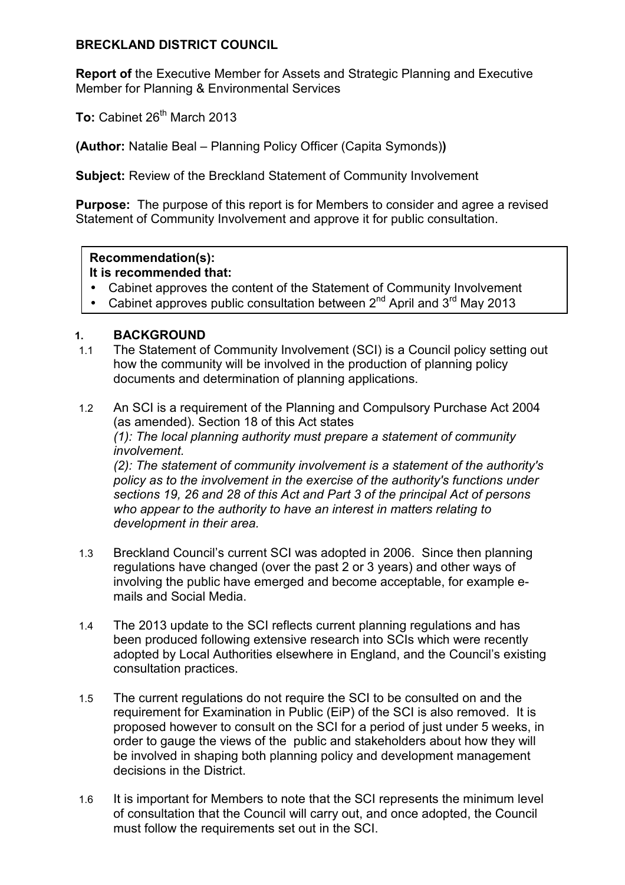#### **BRECKLAND DISTRICT COUNCIL**

**Report of** the Executive Member for Assets and Strategic Planning and Executive Member for Planning & Environmental Services

To: Cabinet 26<sup>th</sup> March 2013

**(Author:** Natalie Beal – Planning Policy Officer (Capita Symonds)**)** 

**Subject:** Review of the Breckland Statement of Community Involvement

**Purpose:** The purpose of this report is for Members to consider and agree a revised Statement of Community Involvement and approve it for public consultation.

#### **Recommendation(s): It is recommended that:**

- Cabinet approves the content of the Statement of Community Involvement
- Cabinet approves public consultation between  $2^{nd}$  April and  $3^{rd}$  May 2013

### **1. BACKGROUND**

- 1.1 The Statement of Community Involvement (SCI) is a Council policy setting out how the community will be involved in the production of planning policy documents and determination of planning applications.
- 1.2 An SCI is a requirement of the Planning and Compulsory Purchase Act 2004 (as amended). Section 18 of this Act states  *(1): The local planning authority must prepare a statement of community involvement. (2): The statement of community involvement is a statement of the authority's policy as to the involvement in the exercise of the authority's functions under sections 19, 26 and 28 of this Act and Part 3 of the principal Act of persons who appear to the authority to have an interest in matters relating to development in their area.*
- 1.3 Breckland Council's current SCI was adopted in 2006. Since then planning regulations have changed (over the past 2 or 3 years) and other ways of involving the public have emerged and become acceptable, for example emails and Social Media.
- 1.4 The 2013 update to the SCI reflects current planning regulations and has been produced following extensive research into SCIs which were recently adopted by Local Authorities elsewhere in England, and the Council's existing consultation practices.
- 1.5 The current regulations do not require the SCI to be consulted on and the requirement for Examination in Public (EiP) of the SCI is also removed. It is proposed however to consult on the SCI for a period of just under 5 weeks, in order to gauge the views of the public and stakeholders about how they will be involved in shaping both planning policy and development management decisions in the District.
- 1.6 It is important for Members to note that the SCI represents the minimum level of consultation that the Council will carry out, and once adopted, the Council must follow the requirements set out in the SCI.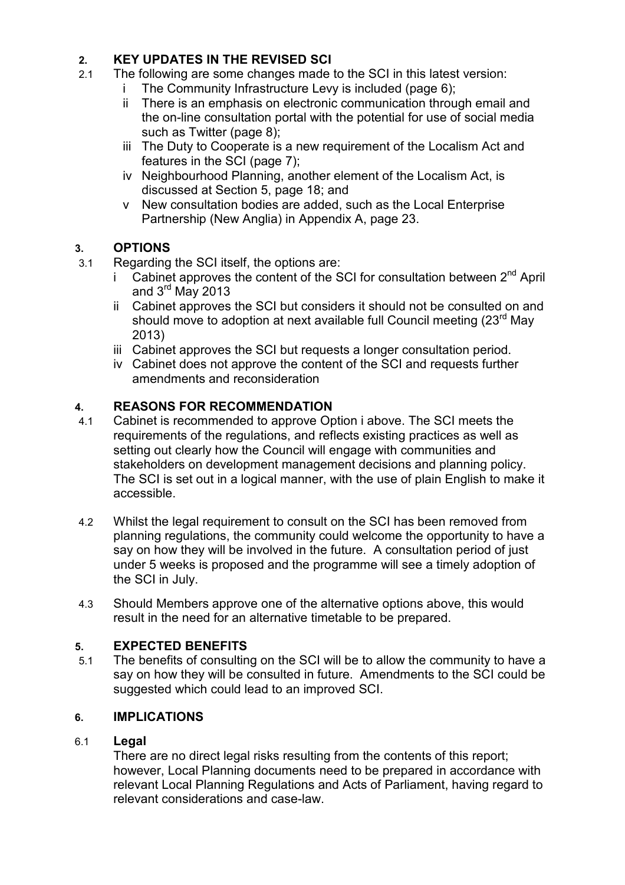## **2. KEY UPDATES IN THE REVISED SCI**

- 2.1 The following are some changes made to the SCI in this latest version:
	- i The Community Infrastructure Levy is included (page 6);
	- ii There is an emphasis on electronic communication through email and the on-line consultation portal with the potential for use of social media such as Twitter (page 8);
	- iii The Duty to Cooperate is a new requirement of the Localism Act and features in the SCI (page 7);
	- iv Neighbourhood Planning, another element of the Localism Act, is discussed at Section 5, page 18; and
	- v New consultation bodies are added, such as the Local Enterprise Partnership (New Anglia) in Appendix A, page 23.

## **3. OPTIONS**

- 3.1 Regarding the SCI itself, the options are:
	- Cabinet approves the content of the SCI for consultation between  $2<sup>nd</sup>$  April and 3rd May 2013
	- ii Cabinet approves the SCI but considers it should not be consulted on and should move to adoption at next available full Council meeting (23<sup>rd</sup> May 2013)
	- iii Cabinet approves the SCI but requests a longer consultation period.
	- iv Cabinet does not approve the content of the SCI and requests further amendments and reconsideration

## **4. REASONS FOR RECOMMENDATION**

- 4.1 Cabinet is recommended to approve Option i above. The SCI meets the requirements of the regulations, and reflects existing practices as well as setting out clearly how the Council will engage with communities and stakeholders on development management decisions and planning policy. The SCI is set out in a logical manner, with the use of plain English to make it accessible.
- 4.2 Whilst the legal requirement to consult on the SCI has been removed from planning regulations, the community could welcome the opportunity to have a say on how they will be involved in the future. A consultation period of just under 5 weeks is proposed and the programme will see a timely adoption of the SCI in July.
- 4.3 Should Members approve one of the alternative options above, this would result in the need for an alternative timetable to be prepared.

## **5. EXPECTED BENEFITS**

5.1 The benefits of consulting on the SCI will be to allow the community to have a say on how they will be consulted in future. Amendments to the SCI could be suggested which could lead to an improved SCI.

## **6. IMPLICATIONS**

### 6.1 **Legal**

 There are no direct legal risks resulting from the contents of this report; however, Local Planning documents need to be prepared in accordance with relevant Local Planning Regulations and Acts of Parliament, having regard to relevant considerations and case-law.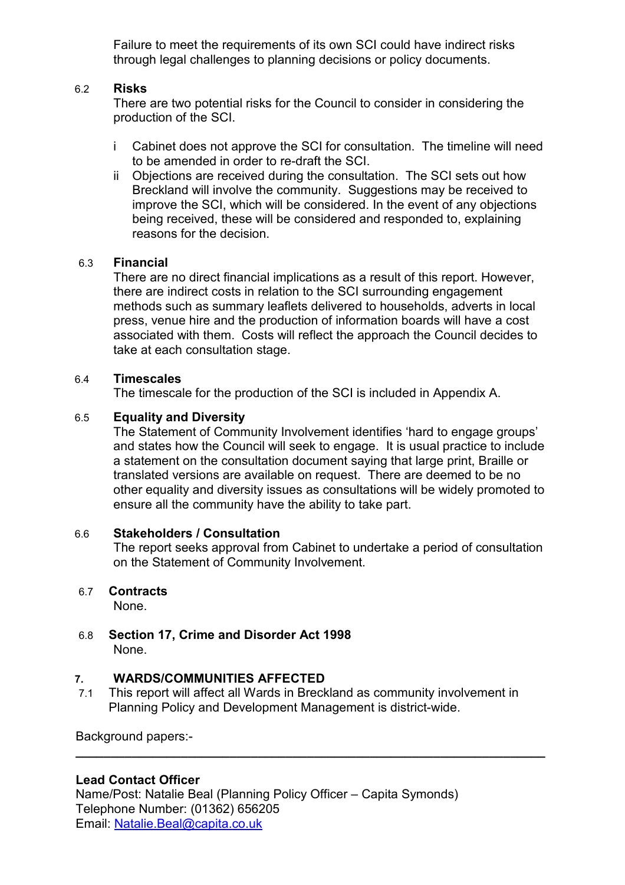Failure to meet the requirements of its own SCI could have indirect risks through legal challenges to planning decisions or policy documents.

#### 6.2 **Risks**

 There are two potential risks for the Council to consider in considering the production of the SCI.

- i Cabinet does not approve the SCI for consultation. The timeline will need to be amended in order to re-draft the SCI.
- ii Objections are received during the consultation. The SCI sets out how Breckland will involve the community. Suggestions may be received to improve the SCI, which will be considered. In the event of any objections being received, these will be considered and responded to, explaining reasons for the decision.

#### 6.3 **Financial**

 There are no direct financial implications as a result of this report. However, there are indirect costs in relation to the SCI surrounding engagement methods such as summary leaflets delivered to households, adverts in local press, venue hire and the production of information boards will have a cost associated with them. Costs will reflect the approach the Council decides to take at each consultation stage.

#### 6.4 **Timescales**

The timescale for the production of the SCI is included in Appendix A.

#### 6.5 **Equality and Diversity**

 The Statement of Community Involvement identifies 'hard to engage groups' and states how the Council will seek to engage. It is usual practice to include a statement on the consultation document saying that large print, Braille or translated versions are available on request. There are deemed to be no other equality and diversity issues as consultations will be widely promoted to ensure all the community have the ability to take part.

#### 6.6 **Stakeholders / Consultation**

 The report seeks approval from Cabinet to undertake a period of consultation on the Statement of Community Involvement.

#### 6.7 **Contracts**

None.

6.8 **Section 17, Crime and Disorder Act 1998** None.

#### **7. WARDS/COMMUNITIES AFFECTED**

7.1 This report will affect all Wards in Breckland as community involvement in Planning Policy and Development Management is district-wide.

**\_\_\_\_\_\_\_\_\_\_\_\_\_\_\_\_\_\_\_\_\_\_\_\_\_\_\_\_\_\_\_\_\_\_\_\_\_\_\_\_\_\_\_\_\_\_\_\_\_\_\_\_\_\_\_\_\_\_\_\_\_\_\_\_\_\_\_**

Background papers:-

#### **Lead Contact Officer**

Name/Post: Natalie Beal (Planning Policy Officer – Capita Symonds) Telephone Number: (01362) 656205 Email: Natalie.Beal@capita.co.uk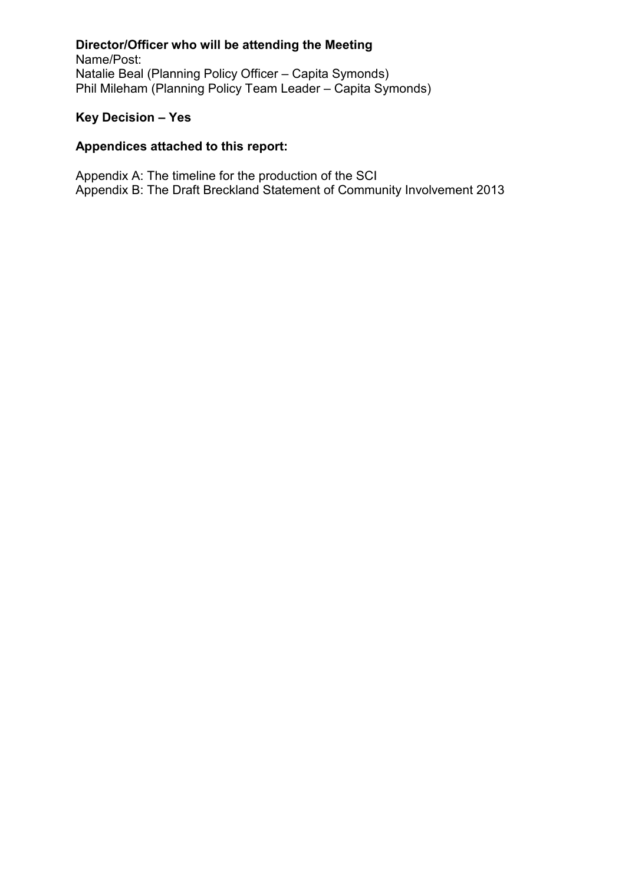### **Director/Officer who will be attending the Meeting**

Name/Post: Natalie Beal (Planning Policy Officer – Capita Symonds) Phil Mileham (Planning Policy Team Leader – Capita Symonds)

### **Key Decision – Yes**

### **Appendices attached to this report:**

Appendix A: The timeline for the production of the SCI Appendix B: The Draft Breckland Statement of Community Involvement 2013